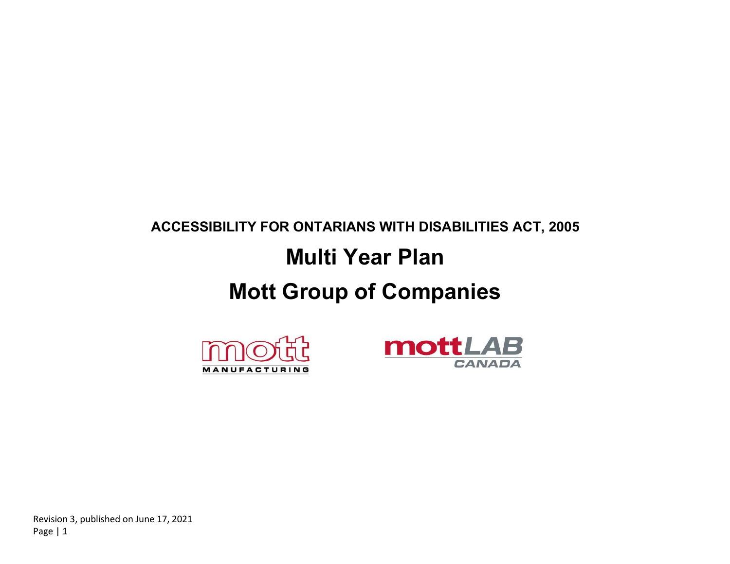### ACCESSIBILITY FOR ONTARIANS WITH DISABILITIES ACT, 2005

# Multi Year Plan

## Mott Group of Companies





Revision 3, published on June 17, 2021 Page | 1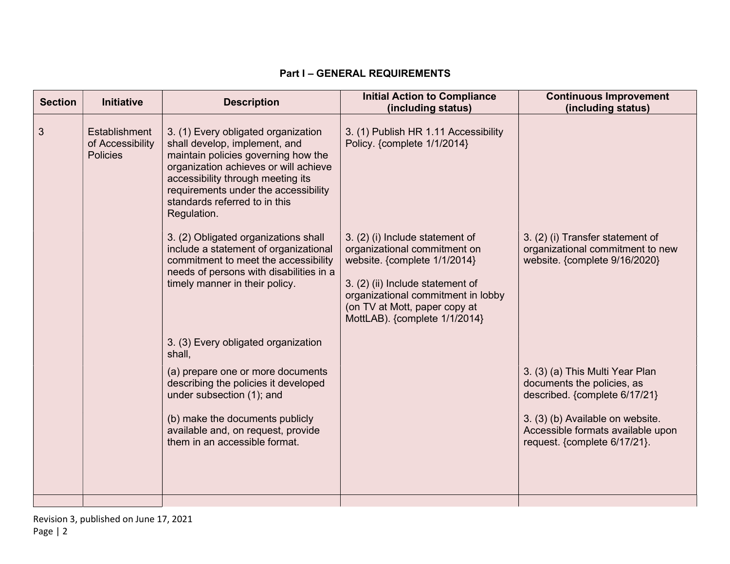#### Part I – GENERAL REQUIREMENTS

| <b>Section</b> | Initiative                                           | <b>Description</b>                                                                                                                                                                                                                                                                | <b>Initial Action to Compliance</b><br>(including status)                                                                                                                                                                                   | <b>Continuous Improvement</b><br>(including status)                                                                                    |
|----------------|------------------------------------------------------|-----------------------------------------------------------------------------------------------------------------------------------------------------------------------------------------------------------------------------------------------------------------------------------|---------------------------------------------------------------------------------------------------------------------------------------------------------------------------------------------------------------------------------------------|----------------------------------------------------------------------------------------------------------------------------------------|
| 3              | Establishment<br>of Accessibility<br><b>Policies</b> | 3. (1) Every obligated organization<br>shall develop, implement, and<br>maintain policies governing how the<br>organization achieves or will achieve<br>accessibility through meeting its<br>requirements under the accessibility<br>standards referred to in this<br>Regulation. | 3. (1) Publish HR 1.11 Accessibility<br>Policy. {complete 1/1/2014}                                                                                                                                                                         |                                                                                                                                        |
|                |                                                      | 3. (2) Obligated organizations shall<br>include a statement of organizational<br>commitment to meet the accessibility<br>needs of persons with disabilities in a<br>timely manner in their policy.                                                                                | 3. (2) (i) Include statement of<br>organizational commitment on<br>website. {complete 1/1/2014}<br>3. (2) (ii) Include statement of<br>organizational commitment in lobby<br>(on TV at Mott, paper copy at<br>MottLAB). {complete 1/1/2014} | 3. (2) (i) Transfer statement of<br>organizational commitment to new<br>website. {complete 9/16/2020}                                  |
|                |                                                      | 3. (3) Every obligated organization<br>shall,<br>(a) prepare one or more documents<br>describing the policies it developed                                                                                                                                                        |                                                                                                                                                                                                                                             | 3. (3) (a) This Multi Year Plan<br>documents the policies, as                                                                          |
|                |                                                      | under subsection (1); and<br>(b) make the documents publicly<br>available and, on request, provide<br>them in an accessible format.                                                                                                                                               |                                                                                                                                                                                                                                             | described. {complete 6/17/21}<br>3. (3) (b) Available on website.<br>Accessible formats available upon<br>request. {complete 6/17/21}. |
|                |                                                      |                                                                                                                                                                                                                                                                                   |                                                                                                                                                                                                                                             |                                                                                                                                        |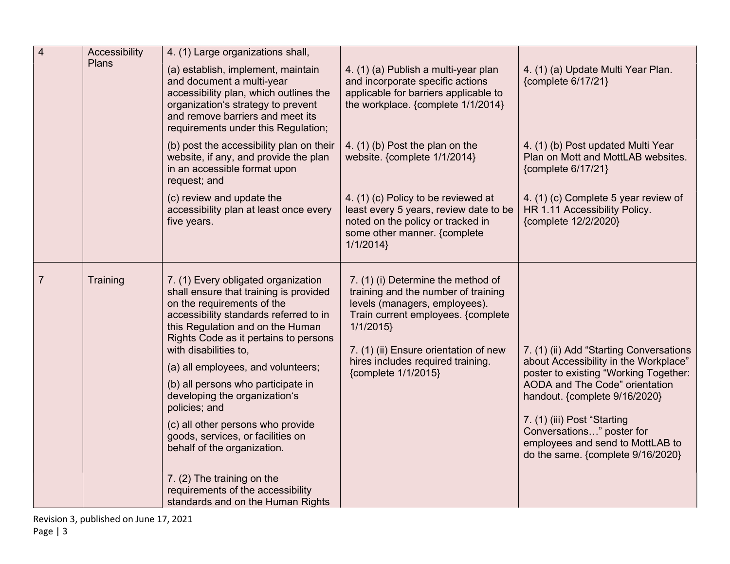| $\overline{4}$ | Accessibility<br><b>Plans</b> | 4. (1) Large organizations shall,<br>(a) establish, implement, maintain<br>and document a multi-year<br>accessibility plan, which outlines the<br>organization's strategy to prevent<br>and remove barriers and meet its<br>requirements under this Regulation;<br>(b) post the accessibility plan on their<br>website, if any, and provide the plan<br>in an accessible format upon<br>request; and<br>(c) review and update the<br>accessibility plan at least once every<br>five years.                                                                                                                 | 4. (1) (a) Publish a multi-year plan<br>and incorporate specific actions<br>applicable for barriers applicable to<br>the workplace. {complete 1/1/2014}<br>4. (1) (b) Post the plan on the<br>website. {complete 1/1/2014}<br>4. (1) (c) Policy to be reviewed at<br>least every 5 years, review date to be<br>noted on the policy or tracked in<br>some other manner. {complete<br>1/1/2014 | 4. (1) (a) Update Multi Year Plan.<br>{complete 6/17/21}<br>4. (1) (b) Post updated Multi Year<br>Plan on Mott and MottLAB websites.<br>{complete 6/17/21}<br>4. (1) (c) Complete 5 year review of<br>HR 1.11 Accessibility Policy.<br>{complete 12/2/2020}                                                                              |
|----------------|-------------------------------|------------------------------------------------------------------------------------------------------------------------------------------------------------------------------------------------------------------------------------------------------------------------------------------------------------------------------------------------------------------------------------------------------------------------------------------------------------------------------------------------------------------------------------------------------------------------------------------------------------|----------------------------------------------------------------------------------------------------------------------------------------------------------------------------------------------------------------------------------------------------------------------------------------------------------------------------------------------------------------------------------------------|------------------------------------------------------------------------------------------------------------------------------------------------------------------------------------------------------------------------------------------------------------------------------------------------------------------------------------------|
| $\overline{7}$ | Training                      | 7. (1) Every obligated organization<br>shall ensure that training is provided<br>on the requirements of the<br>accessibility standards referred to in<br>this Regulation and on the Human<br>Rights Code as it pertains to persons<br>with disabilities to,<br>(a) all employees, and volunteers;<br>(b) all persons who participate in<br>developing the organization's<br>policies; and<br>(c) all other persons who provide<br>goods, services, or facilities on<br>behalf of the organization.<br>7. (2) The training on the<br>requirements of the accessibility<br>standards and on the Human Rights | 7. (1) (i) Determine the method of<br>training and the number of training<br>levels (managers, employees).<br>Train current employees. {complete<br>1/1/2015<br>7. (1) (ii) Ensure orientation of new<br>hires includes required training.<br>{complete 1/1/2015}                                                                                                                            | 7. (1) (ii) Add "Starting Conversations<br>about Accessibility in the Workplace"<br>poster to existing "Working Together:<br><b>AODA and The Code" orientation</b><br>handout. {complete 9/16/2020}<br>7. (1) (iii) Post "Starting<br>Conversations" poster for<br>employees and send to MottLAB to<br>do the same. {complete 9/16/2020} |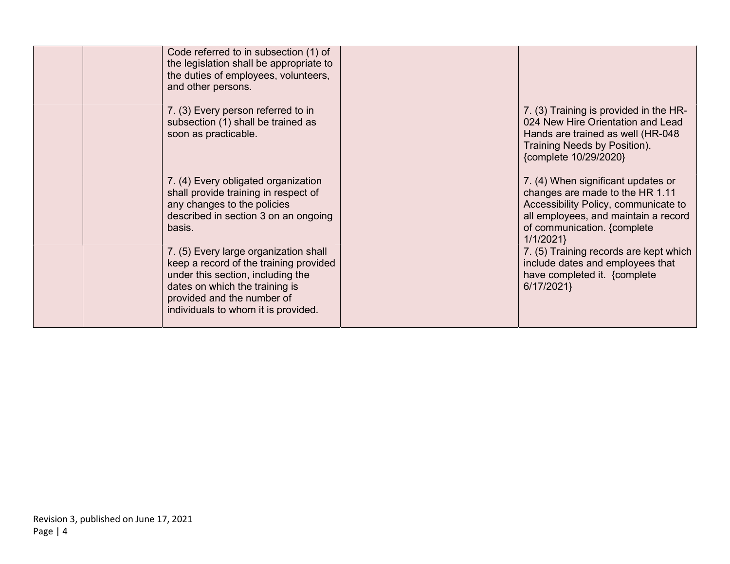| Code referred to in subsection (1) of<br>the legislation shall be appropriate to<br>the duties of employees, volunteers,<br>and other persons.                                                                                                  |                                                                                                                                                                                                                                                                                |
|-------------------------------------------------------------------------------------------------------------------------------------------------------------------------------------------------------------------------------------------------|--------------------------------------------------------------------------------------------------------------------------------------------------------------------------------------------------------------------------------------------------------------------------------|
| 7. (3) Every person referred to in<br>subsection (1) shall be trained as<br>soon as practicable.                                                                                                                                                | 7. (3) Training is provided in the HR-<br>024 New Hire Orientation and Lead<br>Hands are trained as well (HR-048<br>Training Needs by Position).<br>{complete 10/29/2020}                                                                                                      |
| 7. (4) Every obligated organization<br>shall provide training in respect of<br>any changes to the policies<br>described in section 3 on an ongoing<br>basis.<br>7. (5) Every large organization shall<br>keep a record of the training provided | 7. (4) When significant updates or<br>changes are made to the HR 1.11<br>Accessibility Policy, communicate to<br>all employees, and maintain a record<br>of communication. {complete<br>1/1/2021<br>7. (5) Training records are kept which<br>include dates and employees that |
| under this section, including the<br>dates on which the training is<br>provided and the number of<br>individuals to whom it is provided.                                                                                                        | have completed it. {complete<br>6/17/2021}                                                                                                                                                                                                                                     |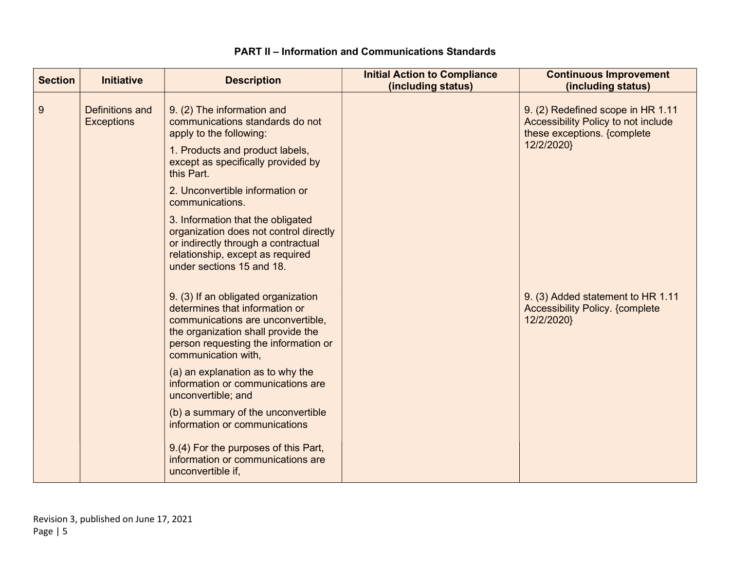| <b>Section</b> | <b>Initiative</b>                    | <b>Description</b>                                                                                                                                                                                                                                                                                                                                                                                                                                                                      | <b>Initial Action to Compliance</b><br>(including status) | <b>Continuous Improvement</b><br>(including status)                                                                   |
|----------------|--------------------------------------|-----------------------------------------------------------------------------------------------------------------------------------------------------------------------------------------------------------------------------------------------------------------------------------------------------------------------------------------------------------------------------------------------------------------------------------------------------------------------------------------|-----------------------------------------------------------|-----------------------------------------------------------------------------------------------------------------------|
| 9              | Definitions and<br><b>Exceptions</b> | 9. (2) The information and<br>communications standards do not<br>apply to the following:<br>1. Products and product labels,<br>except as specifically provided by<br>this Part.<br>2. Unconvertible information or<br>communications.<br>3. Information that the obligated<br>organization does not control directly<br>or indirectly through a contractual<br>relationship, except as required<br>under sections 15 and 18.                                                            |                                                           | 9. (2) Redefined scope in HR 1.11<br>Accessibility Policy to not include<br>these exceptions. {complete<br>12/2/2020} |
|                |                                      | 9. (3) If an obligated organization<br>determines that information or<br>communications are unconvertible,<br>the organization shall provide the<br>person requesting the information or<br>communication with,<br>(a) an explanation as to why the<br>information or communications are<br>unconvertible; and<br>(b) a summary of the unconvertible<br>information or communications<br>9.(4) For the purposes of this Part,<br>information or communications are<br>unconvertible if, |                                                           | 9. (3) Added statement to HR 1.11<br><b>Accessibility Policy. {complete</b><br>12/2/2020}                             |

#### PART II – Information and Communications Standards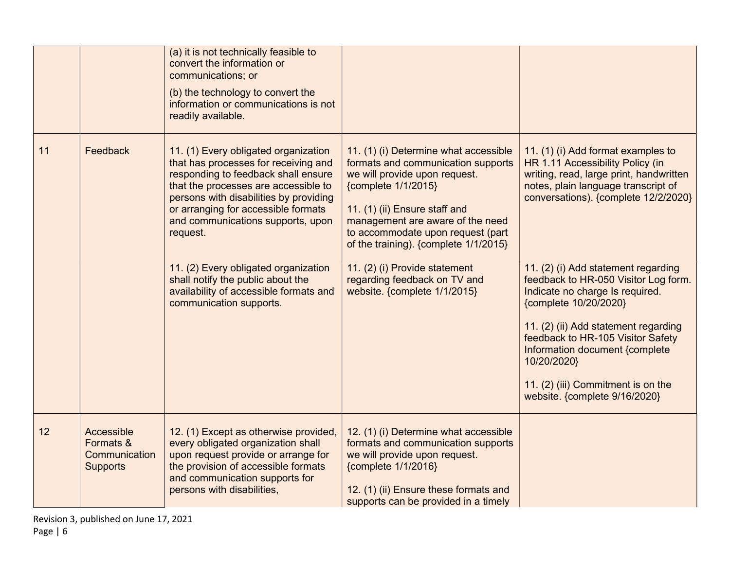|    |                                                             | (a) it is not technically feasible to<br>convert the information or<br>communications; or<br>(b) the technology to convert the<br>information or communications is not<br>readily available.                                                                                                  |                                                                                                                                                                                                                                                                                        |                                                                                                                                                                                                                                                                                                                                              |
|----|-------------------------------------------------------------|-----------------------------------------------------------------------------------------------------------------------------------------------------------------------------------------------------------------------------------------------------------------------------------------------|----------------------------------------------------------------------------------------------------------------------------------------------------------------------------------------------------------------------------------------------------------------------------------------|----------------------------------------------------------------------------------------------------------------------------------------------------------------------------------------------------------------------------------------------------------------------------------------------------------------------------------------------|
| 11 | Feedback                                                    | 11. (1) Every obligated organization<br>that has processes for receiving and<br>responding to feedback shall ensure<br>that the processes are accessible to<br>persons with disabilities by providing<br>or arranging for accessible formats<br>and communications supports, upon<br>request. | 11. (1) (i) Determine what accessible<br>formats and communication supports<br>we will provide upon request.<br>{complete 1/1/2015}<br>11. (1) (ii) Ensure staff and<br>management are aware of the need<br>to accommodate upon request (part<br>of the training). {complete 1/1/2015} | 11. (1) (i) Add format examples to<br>HR 1.11 Accessibility Policy (in<br>writing, read, large print, handwritten<br>notes, plain language transcript of<br>conversations). {complete 12/2/2020}                                                                                                                                             |
|    |                                                             | 11. (2) Every obligated organization<br>shall notify the public about the<br>availability of accessible formats and<br>communication supports.                                                                                                                                                | 11. (2) (i) Provide statement<br>regarding feedback on TV and<br>website. {complete 1/1/2015}                                                                                                                                                                                          | 11. (2) (i) Add statement regarding<br>feedback to HR-050 Visitor Log form.<br>Indicate no charge Is required.<br>{complete 10/20/2020}<br>11. (2) (ii) Add statement regarding<br>feedback to HR-105 Visitor Safety<br>Information document {complete<br>10/20/2020}<br>11. (2) (iii) Commitment is on the<br>website. {complete 9/16/2020} |
| 12 | Accessible<br>Formats &<br>Communication<br><b>Supports</b> | 12. (1) Except as otherwise provided,<br>every obligated organization shall<br>upon request provide or arrange for<br>the provision of accessible formats<br>and communication supports for<br>persons with disabilities,                                                                     | 12. (1) (i) Determine what accessible<br>formats and communication supports<br>we will provide upon request.<br>{complete 1/1/2016}<br>12. (1) (ii) Ensure these formats and<br>supports can be provided in a timely                                                                   |                                                                                                                                                                                                                                                                                                                                              |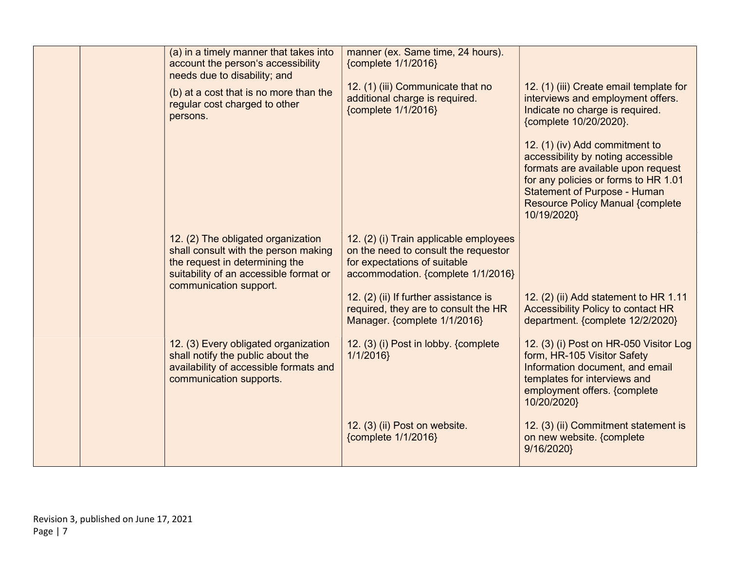| (a) in a timely manner that takes into<br>account the person's accessibility<br>needs due to disability; and                                                                     | manner (ex. Same time, 24 hours).<br>{complete 1/1/2016}                                                                                             |                                                                                                                                                                                                                                                     |
|----------------------------------------------------------------------------------------------------------------------------------------------------------------------------------|------------------------------------------------------------------------------------------------------------------------------------------------------|-----------------------------------------------------------------------------------------------------------------------------------------------------------------------------------------------------------------------------------------------------|
| (b) at a cost that is no more than the<br>regular cost charged to other<br>persons.                                                                                              | 12. (1) (iii) Communicate that no<br>additional charge is required.<br>{complete 1/1/2016}                                                           | 12. (1) (iii) Create email template for<br>interviews and employment offers.<br>Indicate no charge is required.<br>{complete 10/20/2020}.                                                                                                           |
|                                                                                                                                                                                  |                                                                                                                                                      | 12. (1) (iv) Add commitment to<br>accessibility by noting accessible<br>formats are available upon request<br>for any policies or forms to HR 1.01<br><b>Statement of Purpose - Human</b><br><b>Resource Policy Manual {complete</b><br>10/19/2020} |
| 12. (2) The obligated organization<br>shall consult with the person making<br>the request in determining the<br>suitability of an accessible format or<br>communication support. | 12. (2) (i) Train applicable employees<br>on the need to consult the requestor<br>for expectations of suitable<br>accommodation. {complete 1/1/2016} |                                                                                                                                                                                                                                                     |
|                                                                                                                                                                                  | 12. (2) (ii) If further assistance is<br>required, they are to consult the HR<br>Manager. {complete 1/1/2016}                                        | 12. (2) (ii) Add statement to HR 1.11<br>Accessibility Policy to contact HR<br>department. {complete 12/2/2020}                                                                                                                                     |
| 12. (3) Every obligated organization<br>shall notify the public about the<br>availability of accessible formats and<br>communication supports.                                   | 12. (3) (i) Post in lobby. {complete<br>1/1/2016                                                                                                     | 12. (3) (i) Post on HR-050 Visitor Log<br>form, HR-105 Visitor Safety<br>Information document, and email<br>templates for interviews and<br>employment offers. {complete<br>10/20/2020}                                                             |
|                                                                                                                                                                                  | 12. (3) (ii) Post on website.<br>{complete 1/1/2016}                                                                                                 | 12. (3) (ii) Commitment statement is<br>on new website. {complete<br>9/16/2020}                                                                                                                                                                     |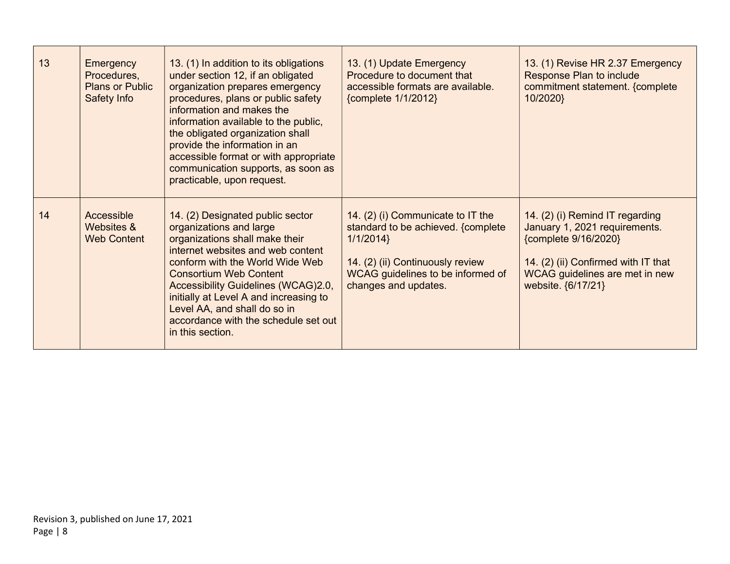| 13 | Emergency<br>Procedures,<br><b>Plans or Public</b><br>Safety Info | 13. (1) In addition to its obligations<br>under section 12, if an obligated<br>organization prepares emergency<br>procedures, plans or public safety<br>information and makes the<br>information available to the public,<br>the obligated organization shall<br>provide the information in an<br>accessible format or with appropriate<br>communication supports, as soon as<br>practicable, upon request. | 13. (1) Update Emergency<br>Procedure to document that<br>accessible formats are available.<br>{complete 1/1/2012}                                                                   | 13. (1) Revise HR 2.37 Emergency<br><b>Response Plan to include</b><br>commitment statement. {complete<br>10/2020}                                                                             |
|----|-------------------------------------------------------------------|-------------------------------------------------------------------------------------------------------------------------------------------------------------------------------------------------------------------------------------------------------------------------------------------------------------------------------------------------------------------------------------------------------------|--------------------------------------------------------------------------------------------------------------------------------------------------------------------------------------|------------------------------------------------------------------------------------------------------------------------------------------------------------------------------------------------|
| 14 | Accessible<br>Websites &<br><b>Web Content</b>                    | 14. (2) Designated public sector<br>organizations and large<br>organizations shall make their<br>internet websites and web content<br>conform with the World Wide Web<br><b>Consortium Web Content</b><br>Accessibility Guidelines (WCAG)2.0,<br>initially at Level A and increasing to<br>Level AA, and shall do so in<br>accordance with the schedule set out<br>in this section.                         | 14. (2) (i) Communicate to IT the<br>standard to be achieved. {complete<br>1/1/2014<br>14. (2) (ii) Continuously review<br>WCAG guidelines to be informed of<br>changes and updates. | 14. (2) (i) Remind IT regarding<br>January 1, 2021 requirements.<br>{complete 9/16/2020}<br>14. (2) (ii) Confirmed with IT that<br><b>WCAG</b> guidelines are met in new<br>website. {6/17/21} |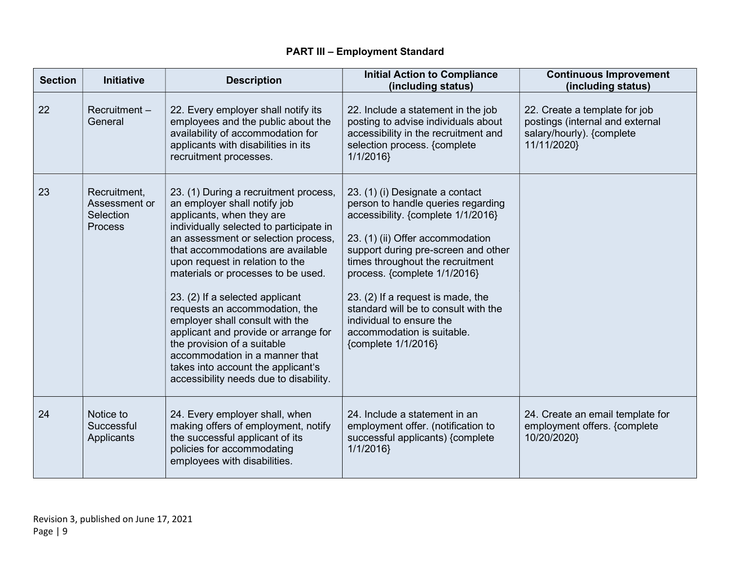### PART III – Employment Standard

| <b>Section</b> | <b>Initiative</b>                                            | <b>Description</b>                                                                                                                                                                                                                                                                                                                                                                                                                                                                                                                                                                                  | <b>Initial Action to Compliance</b><br>(including status)                                                                                                                                                                                                                                                                                                                                                                | <b>Continuous Improvement</b><br>(including status)                                                          |
|----------------|--------------------------------------------------------------|-----------------------------------------------------------------------------------------------------------------------------------------------------------------------------------------------------------------------------------------------------------------------------------------------------------------------------------------------------------------------------------------------------------------------------------------------------------------------------------------------------------------------------------------------------------------------------------------------------|--------------------------------------------------------------------------------------------------------------------------------------------------------------------------------------------------------------------------------------------------------------------------------------------------------------------------------------------------------------------------------------------------------------------------|--------------------------------------------------------------------------------------------------------------|
| 22             | Recruitment-<br>General                                      | 22. Every employer shall notify its<br>employees and the public about the<br>availability of accommodation for<br>applicants with disabilities in its<br>recruitment processes.                                                                                                                                                                                                                                                                                                                                                                                                                     | 22. Include a statement in the job<br>posting to advise individuals about<br>accessibility in the recruitment and<br>selection process. {complete<br>1/1/2016                                                                                                                                                                                                                                                            | 22. Create a template for job<br>postings (internal and external<br>salary/hourly). {complete<br>11/11/2020} |
| 23             | Recruitment,<br>Assessment or<br>Selection<br><b>Process</b> | 23. (1) During a recruitment process,<br>an employer shall notify job<br>applicants, when they are<br>individually selected to participate in<br>an assessment or selection process,<br>that accommodations are available<br>upon request in relation to the<br>materials or processes to be used.<br>23. (2) If a selected applicant<br>requests an accommodation, the<br>employer shall consult with the<br>applicant and provide or arrange for<br>the provision of a suitable<br>accommodation in a manner that<br>takes into account the applicant's<br>accessibility needs due to disability. | 23. (1) (i) Designate a contact<br>person to handle queries regarding<br>accessibility. {complete 1/1/2016}<br>23. (1) (ii) Offer accommodation<br>support during pre-screen and other<br>times throughout the recruitment<br>process. {complete 1/1/2016}<br>23. (2) If a request is made, the<br>standard will be to consult with the<br>individual to ensure the<br>accommodation is suitable.<br>{complete 1/1/2016} |                                                                                                              |
| 24             | Notice to<br>Successful<br>Applicants                        | 24. Every employer shall, when<br>making offers of employment, notify<br>the successful applicant of its<br>policies for accommodating<br>employees with disabilities.                                                                                                                                                                                                                                                                                                                                                                                                                              | 24. Include a statement in an<br>employment offer. (notification to<br>successful applicants) {complete<br>1/1/2016                                                                                                                                                                                                                                                                                                      | 24. Create an email template for<br>employment offers. {complete<br>10/20/2020}                              |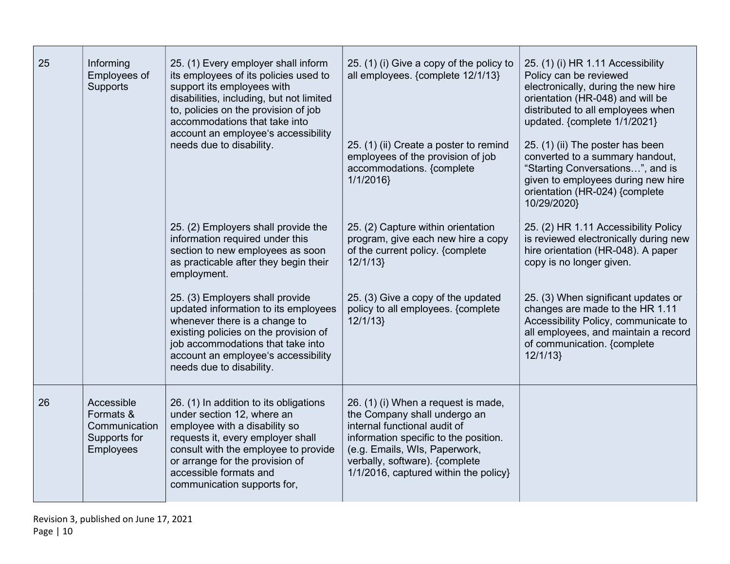| 25 | Informing<br>Employees of<br><b>Supports</b>                          | 25. (1) Every employer shall inform<br>its employees of its policies used to<br>support its employees with<br>disabilities, including, but not limited<br>to, policies on the provision of job<br>accommodations that take into<br>account an employee's accessibility<br>needs due to disability. | 25. (1) (i) Give a copy of the policy to<br>all employees. {complete 12/1/13}<br>25. (1) (ii) Create a poster to remind<br>employees of the provision of job<br>accommodations. {complete<br>1/1/2016                                                    | 25. (1) (i) HR 1.11 Accessibility<br>Policy can be reviewed<br>electronically, during the new hire<br>orientation (HR-048) and will be<br>distributed to all employees when<br>updated. {complete 1/1/2021}<br>25. (1) (ii) The poster has been<br>converted to a summary handout,<br>"Starting Conversations", and is<br>given to employees during new hire<br>orientation (HR-024) {complete<br>10/29/2020} |
|----|-----------------------------------------------------------------------|----------------------------------------------------------------------------------------------------------------------------------------------------------------------------------------------------------------------------------------------------------------------------------------------------|----------------------------------------------------------------------------------------------------------------------------------------------------------------------------------------------------------------------------------------------------------|---------------------------------------------------------------------------------------------------------------------------------------------------------------------------------------------------------------------------------------------------------------------------------------------------------------------------------------------------------------------------------------------------------------|
|    |                                                                       | 25. (2) Employers shall provide the<br>information required under this<br>section to new employees as soon<br>as practicable after they begin their<br>employment.                                                                                                                                 | 25. (2) Capture within orientation<br>program, give each new hire a copy<br>of the current policy. {complete<br>12/1/13                                                                                                                                  | 25. (2) HR 1.11 Accessibility Policy<br>is reviewed electronically during new<br>hire orientation (HR-048). A paper<br>copy is no longer given.                                                                                                                                                                                                                                                               |
|    |                                                                       | 25. (3) Employers shall provide<br>updated information to its employees<br>whenever there is a change to<br>existing policies on the provision of<br>job accommodations that take into<br>account an employee's accessibility<br>needs due to disability.                                          | 25. (3) Give a copy of the updated<br>policy to all employees. {complete<br>12/1/13                                                                                                                                                                      | 25. (3) When significant updates or<br>changes are made to the HR 1.11<br>Accessibility Policy, communicate to<br>all employees, and maintain a record<br>of communication. {complete<br>12/1/13                                                                                                                                                                                                              |
| 26 | Accessible<br>Formats &<br>Communication<br>Supports for<br>Employees | 26. (1) In addition to its obligations<br>under section 12, where an<br>employee with a disability so<br>requests it, every employer shall<br>consult with the employee to provide<br>or arrange for the provision of<br>accessible formats and<br>communication supports for,                     | 26. (1) (i) When a request is made,<br>the Company shall undergo an<br>internal functional audit of<br>information specific to the position.<br>(e.g. Emails, WIs, Paperwork,<br>verbally, software). {complete<br>1/1/2016, captured within the policy} |                                                                                                                                                                                                                                                                                                                                                                                                               |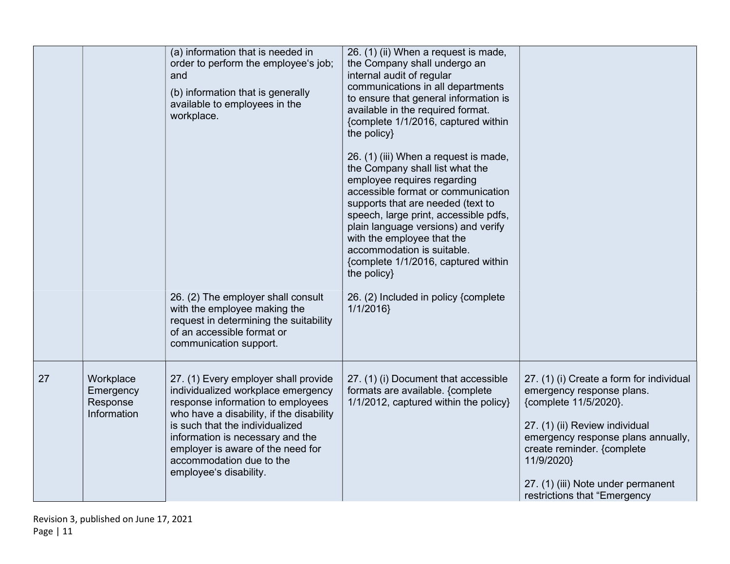|    |                                                          | (a) information that is needed in<br>order to perform the employee's job;<br>and<br>(b) information that is generally<br>available to employees in the<br>workplace.                                                                                                                                                          | 26. (1) (ii) When a request is made,<br>the Company shall undergo an<br>internal audit of regular<br>communications in all departments<br>to ensure that general information is<br>available in the required format.<br>{complete 1/1/2016, captured within<br>the policy}<br>26. (1) (iii) When a request is made,<br>the Company shall list what the<br>employee requires regarding<br>accessible format or communication<br>supports that are needed (text to<br>speech, large print, accessible pdfs,<br>plain language versions) and verify<br>with the employee that the<br>accommodation is suitable.<br>{complete 1/1/2016, captured within<br>the policy} |                                                                                                                                                                                                                                                                                          |
|----|----------------------------------------------------------|-------------------------------------------------------------------------------------------------------------------------------------------------------------------------------------------------------------------------------------------------------------------------------------------------------------------------------|--------------------------------------------------------------------------------------------------------------------------------------------------------------------------------------------------------------------------------------------------------------------------------------------------------------------------------------------------------------------------------------------------------------------------------------------------------------------------------------------------------------------------------------------------------------------------------------------------------------------------------------------------------------------|------------------------------------------------------------------------------------------------------------------------------------------------------------------------------------------------------------------------------------------------------------------------------------------|
|    |                                                          | 26. (2) The employer shall consult<br>with the employee making the<br>request in determining the suitability<br>of an accessible format or<br>communication support.                                                                                                                                                          | 26. (2) Included in policy {complete<br>1/1/2016                                                                                                                                                                                                                                                                                                                                                                                                                                                                                                                                                                                                                   |                                                                                                                                                                                                                                                                                          |
| 27 | Workplace<br>Emergency<br>Response<br><b>Information</b> | 27. (1) Every employer shall provide<br>individualized workplace emergency<br>response information to employees<br>who have a disability, if the disability<br>is such that the individualized<br>information is necessary and the<br>employer is aware of the need for<br>accommodation due to the<br>employee's disability. | 27. (1) (i) Document that accessible<br>formats are available. {complete<br>1/1/2012, captured within the policy}                                                                                                                                                                                                                                                                                                                                                                                                                                                                                                                                                  | 27. (1) (i) Create a form for individual<br>emergency response plans.<br>{complete 11/5/2020}.<br>27. (1) (ii) Review individual<br>emergency response plans annually,<br>create reminder. {complete<br>11/9/2020}<br>27. (1) (iii) Note under permanent<br>restrictions that "Emergency |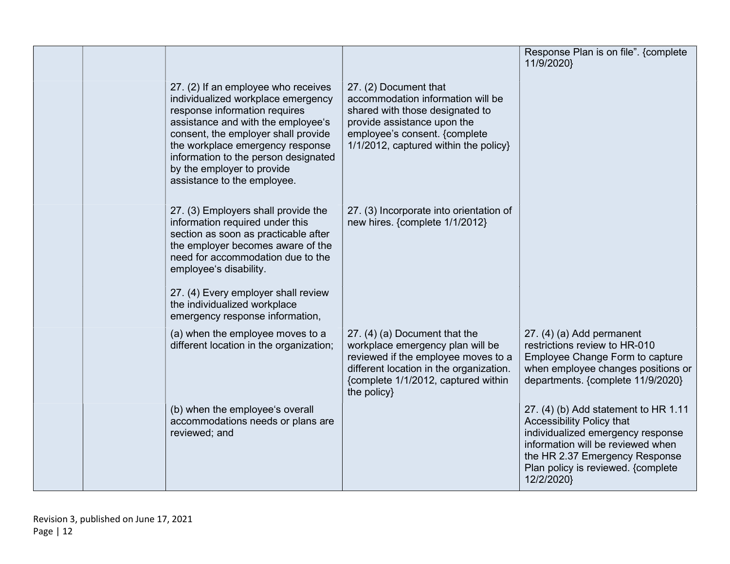|                                                                                                                                                                                                                                                                                                                                  |                                                                                                                                                                                                           | Response Plan is on file". {complete<br>11/9/2020}                                                                                                                                                                                |
|----------------------------------------------------------------------------------------------------------------------------------------------------------------------------------------------------------------------------------------------------------------------------------------------------------------------------------|-----------------------------------------------------------------------------------------------------------------------------------------------------------------------------------------------------------|-----------------------------------------------------------------------------------------------------------------------------------------------------------------------------------------------------------------------------------|
| 27. (2) If an employee who receives<br>individualized workplace emergency<br>response information requires<br>assistance and with the employee's<br>consent, the employer shall provide<br>the workplace emergency response<br>information to the person designated<br>by the employer to provide<br>assistance to the employee. | 27. (2) Document that<br>accommodation information will be<br>shared with those designated to<br>provide assistance upon the<br>employee's consent. {complete<br>1/1/2012, captured within the policy}    |                                                                                                                                                                                                                                   |
| 27. (3) Employers shall provide the<br>information required under this<br>section as soon as practicable after<br>the employer becomes aware of the<br>need for accommodation due to the<br>employee's disability.                                                                                                               | 27. (3) Incorporate into orientation of<br>new hires. {complete 1/1/2012}                                                                                                                                 |                                                                                                                                                                                                                                   |
| 27. (4) Every employer shall review<br>the individualized workplace<br>emergency response information,                                                                                                                                                                                                                           |                                                                                                                                                                                                           |                                                                                                                                                                                                                                   |
| (a) when the employee moves to a<br>different location in the organization;                                                                                                                                                                                                                                                      | 27. (4) (a) Document that the<br>workplace emergency plan will be<br>reviewed if the employee moves to a<br>different location in the organization.<br>{complete 1/1/2012, captured within<br>the policy} | 27. (4) (a) Add permanent<br>restrictions review to HR-010<br>Employee Change Form to capture<br>when employee changes positions or<br>departments. {complete 11/9/2020}                                                          |
| (b) when the employee's overall<br>accommodations needs or plans are<br>reviewed; and                                                                                                                                                                                                                                            |                                                                                                                                                                                                           | 27. (4) (b) Add statement to HR 1.11<br>Accessibility Policy that<br>individualized emergency response<br>information will be reviewed when<br>the HR 2.37 Emergency Response<br>Plan policy is reviewed. {complete<br>12/2/2020} |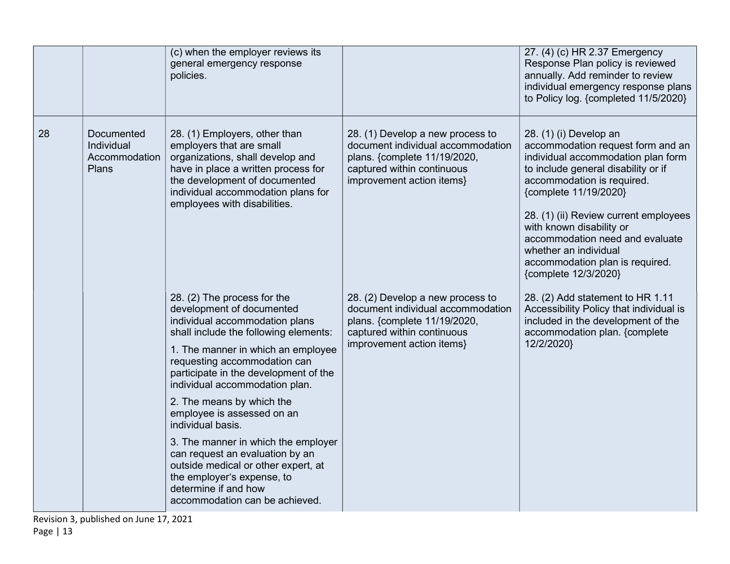|    |                                                    | (c) when the employer reviews its<br>general emergency response<br>policies.                                                                                                                                                                                                                                                                                                                                                                                                                                                                                                  |                                                                                                                                                                  | 27. (4) (c) HR 2.37 Emergency<br>Response Plan policy is reviewed<br>annually. Add reminder to review<br>individual emergency response plans<br>to Policy log. {completed 11/5/2020}                                                                                                                                                                                                        |
|----|----------------------------------------------------|-------------------------------------------------------------------------------------------------------------------------------------------------------------------------------------------------------------------------------------------------------------------------------------------------------------------------------------------------------------------------------------------------------------------------------------------------------------------------------------------------------------------------------------------------------------------------------|------------------------------------------------------------------------------------------------------------------------------------------------------------------|---------------------------------------------------------------------------------------------------------------------------------------------------------------------------------------------------------------------------------------------------------------------------------------------------------------------------------------------------------------------------------------------|
| 28 | Documented<br>Individual<br>Accommodation<br>Plans | 28. (1) Employers, other than<br>employers that are small<br>organizations, shall develop and<br>have in place a written process for<br>the development of documented<br>individual accommodation plans for<br>employees with disabilities.                                                                                                                                                                                                                                                                                                                                   | 28. (1) Develop a new process to<br>document individual accommodation<br>plans. {complete 11/19/2020,<br>captured within continuous<br>improvement action items} | 28. (1) (i) Develop an<br>accommodation request form and an<br>individual accommodation plan form<br>to include general disability or if<br>accommodation is required.<br>{complete 11/19/2020}<br>28. (1) (ii) Review current employees<br>with known disability or<br>accommodation need and evaluate<br>whether an individual<br>accommodation plan is required.<br>{complete 12/3/2020} |
|    |                                                    | 28. (2) The process for the<br>development of documented<br>individual accommodation plans<br>shall include the following elements:<br>1. The manner in which an employee<br>requesting accommodation can<br>participate in the development of the<br>individual accommodation plan.<br>2. The means by which the<br>employee is assessed on an<br>individual basis.<br>3. The manner in which the employer<br>can request an evaluation by an<br>outside medical or other expert, at<br>the employer's expense, to<br>determine if and how<br>accommodation can be achieved. | 28. (2) Develop a new process to<br>document individual accommodation<br>plans. {complete 11/19/2020,<br>captured within continuous<br>improvement action items} | 28. (2) Add statement to HR 1.11<br>Accessibility Policy that individual is<br>included in the development of the<br>accommodation plan. {complete<br>12/2/2020}                                                                                                                                                                                                                            |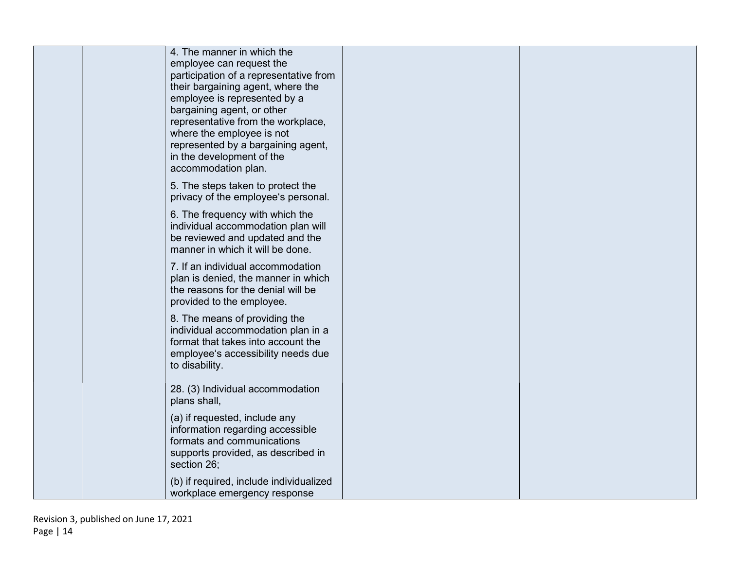| 4. The manner in which the<br>employee can request the<br>participation of a representative from<br>their bargaining agent, where the<br>employee is represented by a<br>bargaining agent, or other<br>representative from the workplace,<br>where the employee is not<br>represented by a bargaining agent,<br>in the development of the<br>accommodation plan. |  |
|------------------------------------------------------------------------------------------------------------------------------------------------------------------------------------------------------------------------------------------------------------------------------------------------------------------------------------------------------------------|--|
| 5. The steps taken to protect the<br>privacy of the employee's personal.                                                                                                                                                                                                                                                                                         |  |
| 6. The frequency with which the<br>individual accommodation plan will<br>be reviewed and updated and the<br>manner in which it will be done.                                                                                                                                                                                                                     |  |
| 7. If an individual accommodation<br>plan is denied, the manner in which<br>the reasons for the denial will be<br>provided to the employee.                                                                                                                                                                                                                      |  |
| 8. The means of providing the<br>individual accommodation plan in a<br>format that takes into account the<br>employee's accessibility needs due<br>to disability.                                                                                                                                                                                                |  |
| 28. (3) Individual accommodation<br>plans shall,                                                                                                                                                                                                                                                                                                                 |  |
| (a) if requested, include any<br>information regarding accessible<br>formats and communications<br>supports provided, as described in<br>section 26;                                                                                                                                                                                                             |  |
| (b) if required, include individualized<br>workplace emergency response                                                                                                                                                                                                                                                                                          |  |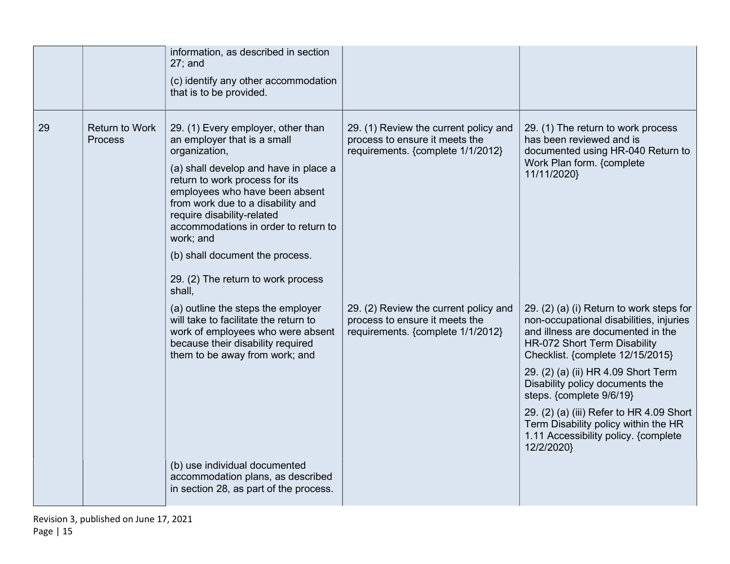|    |                                  | information, as described in section<br>$27$ ; and<br>(c) identify any other accommodation<br>that is to be provided.                                                                                                                                                                                                                                                                                      |                                                                                                              |                                                                                                                                                                                                                                                                                                                                                                                                                                              |
|----|----------------------------------|------------------------------------------------------------------------------------------------------------------------------------------------------------------------------------------------------------------------------------------------------------------------------------------------------------------------------------------------------------------------------------------------------------|--------------------------------------------------------------------------------------------------------------|----------------------------------------------------------------------------------------------------------------------------------------------------------------------------------------------------------------------------------------------------------------------------------------------------------------------------------------------------------------------------------------------------------------------------------------------|
| 29 | <b>Return to Work</b><br>Process | 29. (1) Every employer, other than<br>an employer that is a small<br>organization,<br>(a) shall develop and have in place a<br>return to work process for its<br>employees who have been absent<br>from work due to a disability and<br>require disability-related<br>accommodations in order to return to<br>work; and<br>(b) shall document the process.<br>29. (2) The return to work process<br>shall, | 29. (1) Review the current policy and<br>process to ensure it meets the<br>requirements. {complete 1/1/2012} | 29. (1) The return to work process<br>has been reviewed and is<br>documented using HR-040 Return to<br>Work Plan form. {complete<br>11/11/2020}                                                                                                                                                                                                                                                                                              |
|    |                                  | (a) outline the steps the employer<br>will take to facilitate the return to<br>work of employees who were absent<br>because their disability required<br>them to be away from work; and<br>(b) use individual documented<br>accommodation plans, as described<br>in section 28, as part of the process.                                                                                                    | 29. (2) Review the current policy and<br>process to ensure it meets the<br>requirements. {complete 1/1/2012} | 29. (2) (a) (i) Return to work steps for<br>non-occupational disabilities, injuries<br>and illness are documented in the<br>HR-072 Short Term Disability<br>Checklist. {complete 12/15/2015}<br>29. (2) (a) (ii) HR 4.09 Short Term<br>Disability policy documents the<br>steps. {complete 9/6/19}<br>29. (2) (a) (iii) Refer to HR 4.09 Short<br>Term Disability policy within the HR<br>1.11 Accessibility policy. {complete<br>12/2/2020} |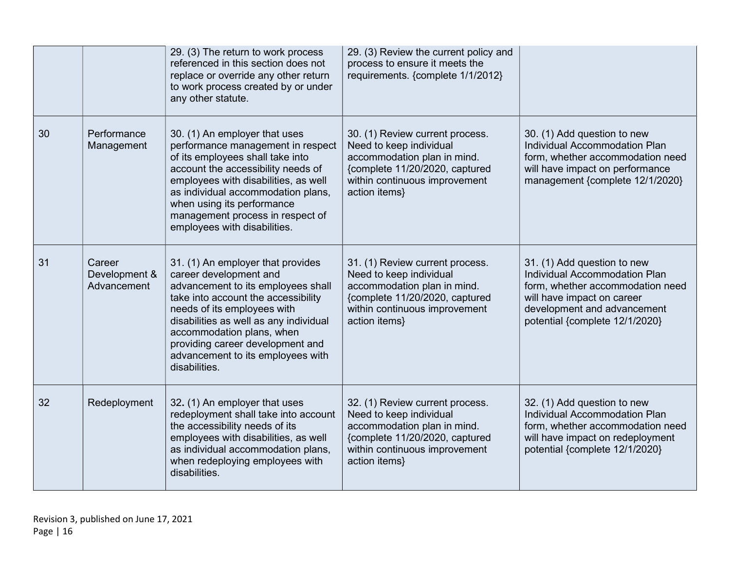|    |                                        | 29. (3) The return to work process<br>referenced in this section does not<br>replace or override any other return<br>to work process created by or under<br>any other statute.                                                                                                                                                           | 29. (3) Review the current policy and<br>process to ensure it meets the<br>requirements. {complete 1/1/2012}                                                                  |                                                                                                                                                                                                 |
|----|----------------------------------------|------------------------------------------------------------------------------------------------------------------------------------------------------------------------------------------------------------------------------------------------------------------------------------------------------------------------------------------|-------------------------------------------------------------------------------------------------------------------------------------------------------------------------------|-------------------------------------------------------------------------------------------------------------------------------------------------------------------------------------------------|
| 30 | Performance<br>Management              | 30. (1) An employer that uses<br>performance management in respect<br>of its employees shall take into<br>account the accessibility needs of<br>employees with disabilities, as well<br>as individual accommodation plans,<br>when using its performance<br>management process in respect of<br>employees with disabilities.             | 30. (1) Review current process.<br>Need to keep individual<br>accommodation plan in mind.<br>{complete 11/20/2020, captured<br>within continuous improvement<br>action items} | 30. (1) Add question to new<br>Individual Accommodation Plan<br>form, whether accommodation need<br>will have impact on performance<br>management {complete 12/1/2020}                          |
| 31 | Career<br>Development &<br>Advancement | 31. (1) An employer that provides<br>career development and<br>advancement to its employees shall<br>take into account the accessibility<br>needs of its employees with<br>disabilities as well as any individual<br>accommodation plans, when<br>providing career development and<br>advancement to its employees with<br>disabilities. | 31. (1) Review current process.<br>Need to keep individual<br>accommodation plan in mind.<br>{complete 11/20/2020, captured<br>within continuous improvement<br>action items} | 31. (1) Add question to new<br>Individual Accommodation Plan<br>form, whether accommodation need<br>will have impact on career<br>development and advancement<br>potential {complete 12/1/2020} |
| 32 | Redeployment                           | 32. (1) An employer that uses<br>redeployment shall take into account<br>the accessibility needs of its<br>employees with disabilities, as well<br>as individual accommodation plans,<br>when redeploying employees with<br>disabilities.                                                                                                | 32. (1) Review current process.<br>Need to keep individual<br>accommodation plan in mind.<br>{complete 11/20/2020, captured<br>within continuous improvement<br>action items} | 32. (1) Add question to new<br>Individual Accommodation Plan<br>form, whether accommodation need<br>will have impact on redeployment<br>potential {complete 12/1/2020}                          |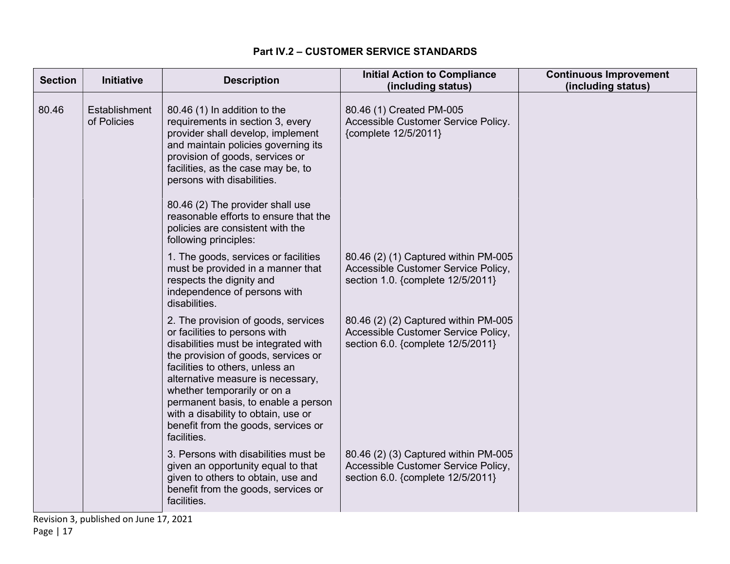| <b>Section</b> | Initiative                   | <b>Description</b>                                                                                                                                                                                                                                                                                                                                                                             | <b>Initial Action to Compliance</b><br>(including status)                                                        | <b>Continuous Improvement</b><br>(including status) |
|----------------|------------------------------|------------------------------------------------------------------------------------------------------------------------------------------------------------------------------------------------------------------------------------------------------------------------------------------------------------------------------------------------------------------------------------------------|------------------------------------------------------------------------------------------------------------------|-----------------------------------------------------|
| 80.46          | Establishment<br>of Policies | 80.46 (1) In addition to the<br>requirements in section 3, every<br>provider shall develop, implement<br>and maintain policies governing its<br>provision of goods, services or<br>facilities, as the case may be, to<br>persons with disabilities.<br>80.46 (2) The provider shall use<br>reasonable efforts to ensure that the<br>policies are consistent with the<br>following principles:  | 80.46 (1) Created PM-005<br>Accessible Customer Service Policy.<br>{complete 12/5/2011}                          |                                                     |
|                |                              | 1. The goods, services or facilities<br>must be provided in a manner that<br>respects the dignity and<br>independence of persons with<br>disabilities.                                                                                                                                                                                                                                         | 80.46 (2) (1) Captured within PM-005<br>Accessible Customer Service Policy,<br>section 1.0. {complete 12/5/2011} |                                                     |
|                |                              | 2. The provision of goods, services<br>or facilities to persons with<br>disabilities must be integrated with<br>the provision of goods, services or<br>facilities to others, unless an<br>alternative measure is necessary,<br>whether temporarily or on a<br>permanent basis, to enable a person<br>with a disability to obtain, use or<br>benefit from the goods, services or<br>facilities. | 80.46 (2) (2) Captured within PM-005<br>Accessible Customer Service Policy,<br>section 6.0. {complete 12/5/2011} |                                                     |
|                |                              | 3. Persons with disabilities must be<br>given an opportunity equal to that<br>given to others to obtain, use and<br>benefit from the goods, services or<br>facilities.                                                                                                                                                                                                                         | 80.46 (2) (3) Captured within PM-005<br>Accessible Customer Service Policy,<br>section 6.0. {complete 12/5/2011} |                                                     |

#### Part IV.2 – CUSTOMER SERVICE STANDARDS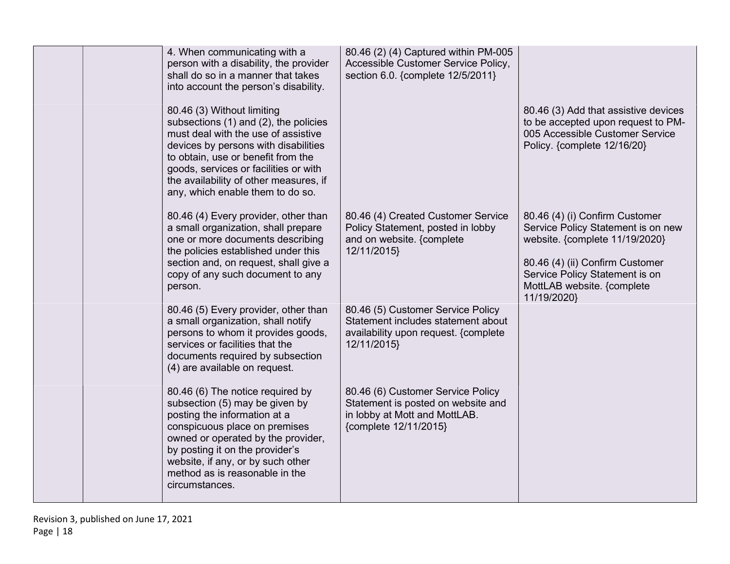|  | 4. When communicating with a<br>person with a disability, the provider<br>shall do so in a manner that takes<br>into account the person's disability.<br>80.46 (3) Without limiting<br>subsections (1) and (2), the policies<br>must deal with the use of assistive<br>devices by persons with disabilities<br>to obtain, use or benefit from the<br>goods, services or facilities or with<br>the availability of other measures, if<br>any, which enable them to do so. | 80.46 (2) (4) Captured within PM-005<br>Accessible Customer Service Policy,<br>section 6.0. {complete 12/5/2011}                  | 80.46 (3) Add that assistive devices<br>to be accepted upon request to PM-<br>005 Accessible Customer Service<br>Policy. {complete 12/16/20}                                                                             |
|--|--------------------------------------------------------------------------------------------------------------------------------------------------------------------------------------------------------------------------------------------------------------------------------------------------------------------------------------------------------------------------------------------------------------------------------------------------------------------------|-----------------------------------------------------------------------------------------------------------------------------------|--------------------------------------------------------------------------------------------------------------------------------------------------------------------------------------------------------------------------|
|  | 80.46 (4) Every provider, other than<br>a small organization, shall prepare<br>one or more documents describing<br>the policies established under this<br>section and, on request, shall give a<br>copy of any such document to any<br>person.                                                                                                                                                                                                                           | 80.46 (4) Created Customer Service<br>Policy Statement, posted in lobby<br>and on website. {complete<br>12/11/2015}               | 80.46 (4) (i) Confirm Customer<br>Service Policy Statement is on new<br>website. {complete 11/19/2020}<br>80.46 (4) (ii) Confirm Customer<br>Service Policy Statement is on<br>MottLAB website. {complete<br>11/19/2020} |
|  | 80.46 (5) Every provider, other than<br>a small organization, shall notify<br>persons to whom it provides goods,<br>services or facilities that the<br>documents required by subsection<br>(4) are available on request.                                                                                                                                                                                                                                                 | 80.46 (5) Customer Service Policy<br>Statement includes statement about<br>availability upon request. {complete<br>12/11/2015}    |                                                                                                                                                                                                                          |
|  | 80.46 (6) The notice required by<br>subsection (5) may be given by<br>posting the information at a<br>conspicuous place on premises<br>owned or operated by the provider,<br>by posting it on the provider's<br>website, if any, or by such other<br>method as is reasonable in the<br>circumstances.                                                                                                                                                                    | 80.46 (6) Customer Service Policy<br>Statement is posted on website and<br>in lobby at Mott and MottLAB.<br>{complete 12/11/2015} |                                                                                                                                                                                                                          |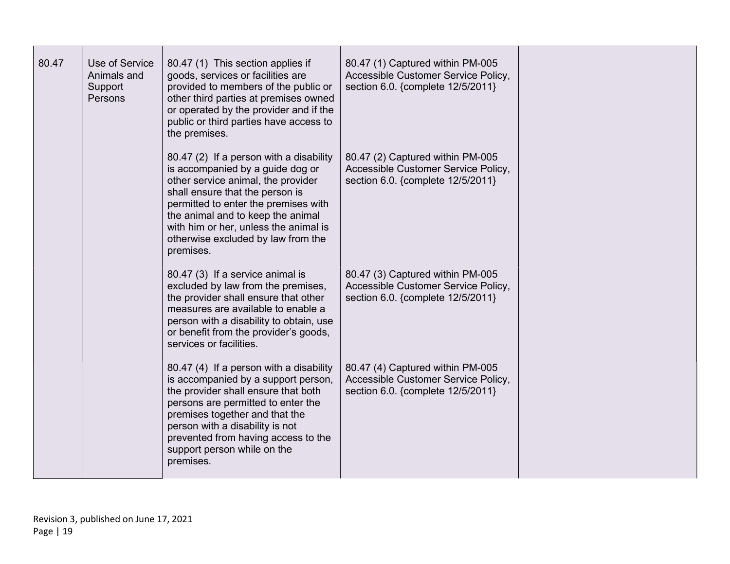| 80.47 | Use of Service<br>Animals and<br>Support<br>Persons | 80.47 (1) This section applies if<br>goods, services or facilities are<br>provided to members of the public or<br>other third parties at premises owned<br>or operated by the provider and if the<br>public or third parties have access to<br>the premises.                                                                  | 80.47 (1) Captured within PM-005<br>Accessible Customer Service Policy,<br>section 6.0. {complete 12/5/2011} |  |
|-------|-----------------------------------------------------|-------------------------------------------------------------------------------------------------------------------------------------------------------------------------------------------------------------------------------------------------------------------------------------------------------------------------------|--------------------------------------------------------------------------------------------------------------|--|
|       |                                                     | 80.47 (2) If a person with a disability<br>is accompanied by a guide dog or<br>other service animal, the provider<br>shall ensure that the person is<br>permitted to enter the premises with<br>the animal and to keep the animal<br>with him or her, unless the animal is<br>otherwise excluded by law from the<br>premises. | 80.47 (2) Captured within PM-005<br>Accessible Customer Service Policy,<br>section 6.0. {complete 12/5/2011} |  |
|       |                                                     | 80.47 (3) If a service animal is<br>excluded by law from the premises,<br>the provider shall ensure that other<br>measures are available to enable a<br>person with a disability to obtain, use<br>or benefit from the provider's goods,<br>services or facilities.                                                           | 80.47 (3) Captured within PM-005<br>Accessible Customer Service Policy,<br>section 6.0. {complete 12/5/2011} |  |
|       |                                                     | 80.47 (4) If a person with a disability<br>is accompanied by a support person,<br>the provider shall ensure that both<br>persons are permitted to enter the<br>premises together and that the<br>person with a disability is not<br>prevented from having access to the<br>support person while on the<br>premises.           | 80.47 (4) Captured within PM-005<br>Accessible Customer Service Policy,<br>section 6.0. {complete 12/5/2011} |  |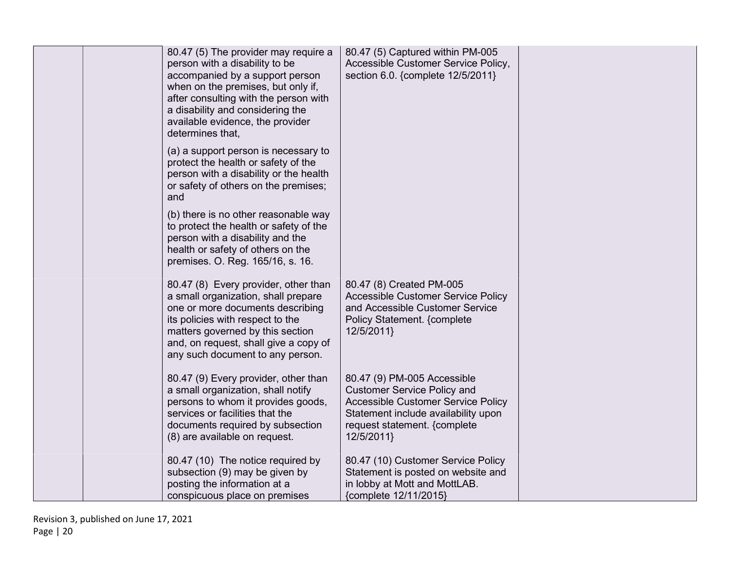| 80.47 (5) The provider may require a<br>person with a disability to be<br>accompanied by a support person<br>when on the premises, but only if,<br>after consulting with the person with<br>a disability and considering the<br>available evidence, the provider<br>determines that, | 80.47 (5) Captured within PM-005<br>Accessible Customer Service Policy,<br>section 6.0. {complete 12/5/2011}                                                                                 |  |
|--------------------------------------------------------------------------------------------------------------------------------------------------------------------------------------------------------------------------------------------------------------------------------------|----------------------------------------------------------------------------------------------------------------------------------------------------------------------------------------------|--|
| (a) a support person is necessary to<br>protect the health or safety of the<br>person with a disability or the health<br>or safety of others on the premises;<br>and                                                                                                                 |                                                                                                                                                                                              |  |
| (b) there is no other reasonable way<br>to protect the health or safety of the<br>person with a disability and the<br>health or safety of others on the<br>premises. O. Reg. 165/16, s. 16.                                                                                          |                                                                                                                                                                                              |  |
| 80.47 (8) Every provider, other than<br>a small organization, shall prepare<br>one or more documents describing<br>its policies with respect to the<br>matters governed by this section<br>and, on request, shall give a copy of<br>any such document to any person.                 | 80.47 (8) Created PM-005<br><b>Accessible Customer Service Policy</b><br>and Accessible Customer Service<br>Policy Statement. {complete<br>12/5/2011}                                        |  |
| 80.47 (9) Every provider, other than<br>a small organization, shall notify<br>persons to whom it provides goods,<br>services or facilities that the<br>documents required by subsection<br>(8) are available on request.                                                             | 80.47 (9) PM-005 Accessible<br><b>Customer Service Policy and</b><br>Accessible Customer Service Policy<br>Statement include availability upon<br>request statement. {complete<br>12/5/2011} |  |
| 80.47 (10) The notice required by<br>subsection (9) may be given by<br>posting the information at a<br>conspicuous place on premises                                                                                                                                                 | 80.47 (10) Customer Service Policy<br>Statement is posted on website and<br>in lobby at Mott and MottLAB.<br>{complete 12/11/2015}                                                           |  |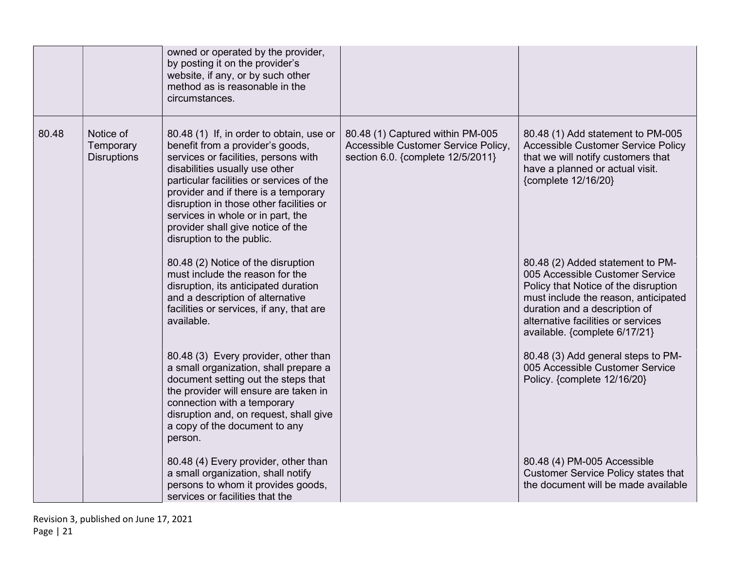|       |                                              | owned or operated by the provider,<br>by posting it on the provider's<br>website, if any, or by such other<br>method as is reasonable in the<br>circumstances.                                                                                                                                                                                                                               |                                                                                                              |                                                                                                                                                                                                                                                             |
|-------|----------------------------------------------|----------------------------------------------------------------------------------------------------------------------------------------------------------------------------------------------------------------------------------------------------------------------------------------------------------------------------------------------------------------------------------------------|--------------------------------------------------------------------------------------------------------------|-------------------------------------------------------------------------------------------------------------------------------------------------------------------------------------------------------------------------------------------------------------|
| 80.48 | Notice of<br>Temporary<br><b>Disruptions</b> | 80.48 (1) If, in order to obtain, use or<br>benefit from a provider's goods,<br>services or facilities, persons with<br>disabilities usually use other<br>particular facilities or services of the<br>provider and if there is a temporary<br>disruption in those other facilities or<br>services in whole or in part, the<br>provider shall give notice of the<br>disruption to the public. | 80.48 (1) Captured within PM-005<br>Accessible Customer Service Policy,<br>section 6.0. {complete 12/5/2011} | 80.48 (1) Add statement to PM-005<br>Accessible Customer Service Policy<br>that we will notify customers that<br>have a planned or actual visit.<br>{complete 12/16/20}                                                                                     |
|       |                                              | 80.48 (2) Notice of the disruption<br>must include the reason for the<br>disruption, its anticipated duration<br>and a description of alternative<br>facilities or services, if any, that are<br>available.                                                                                                                                                                                  |                                                                                                              | 80.48 (2) Added statement to PM-<br>005 Accessible Customer Service<br>Policy that Notice of the disruption<br>must include the reason, anticipated<br>duration and a description of<br>alternative facilities or services<br>available. {complete 6/17/21} |
|       |                                              | 80.48 (3) Every provider, other than<br>a small organization, shall prepare a<br>document setting out the steps that<br>the provider will ensure are taken in<br>connection with a temporary<br>disruption and, on request, shall give<br>a copy of the document to any<br>person.                                                                                                           |                                                                                                              | 80.48 (3) Add general steps to PM-<br>005 Accessible Customer Service<br>Policy. {complete 12/16/20}                                                                                                                                                        |
|       |                                              | 80.48 (4) Every provider, other than<br>a small organization, shall notify<br>persons to whom it provides goods,<br>services or facilities that the                                                                                                                                                                                                                                          |                                                                                                              | 80.48 (4) PM-005 Accessible<br><b>Customer Service Policy states that</b><br>the document will be made available                                                                                                                                            |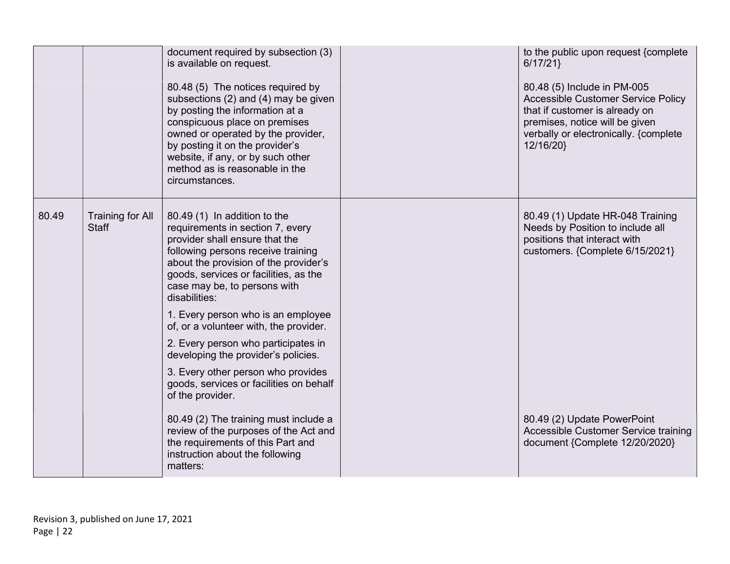|       |                                         | document required by subsection (3)<br>is available on request.<br>80.48 (5) The notices required by<br>subsections (2) and (4) may be given<br>by posting the information at a<br>conspicuous place on premises<br>owned or operated by the provider,<br>by posting it on the provider's<br>website, if any, or by such other<br>method as is reasonable in the<br>circumstances. | to the public upon request {complete<br>6/17/21<br>80.48 (5) Include in PM-005<br><b>Accessible Customer Service Policy</b><br>that if customer is already on<br>premises, notice will be given<br>verbally or electronically. {complete<br>12/16/20} |
|-------|-----------------------------------------|------------------------------------------------------------------------------------------------------------------------------------------------------------------------------------------------------------------------------------------------------------------------------------------------------------------------------------------------------------------------------------|-------------------------------------------------------------------------------------------------------------------------------------------------------------------------------------------------------------------------------------------------------|
| 80.49 | <b>Training for All</b><br><b>Staff</b> | 80.49 (1) In addition to the<br>requirements in section 7, every<br>provider shall ensure that the<br>following persons receive training<br>about the provision of the provider's<br>goods, services or facilities, as the<br>case may be, to persons with<br>disabilities:<br>1. Every person who is an employee<br>of, or a volunteer with, the provider.                        | 80.49 (1) Update HR-048 Training<br>Needs by Position to include all<br>positions that interact with<br>customers. {Complete 6/15/2021}                                                                                                               |
|       |                                         | 2. Every person who participates in<br>developing the provider's policies.<br>3. Every other person who provides<br>goods, services or facilities on behalf<br>of the provider.                                                                                                                                                                                                    |                                                                                                                                                                                                                                                       |
|       |                                         | 80.49 (2) The training must include a<br>review of the purposes of the Act and<br>the requirements of this Part and<br>instruction about the following<br>matters:                                                                                                                                                                                                                 | 80.49 (2) Update PowerPoint<br>Accessible Customer Service training<br>document {Complete 12/20/2020}                                                                                                                                                 |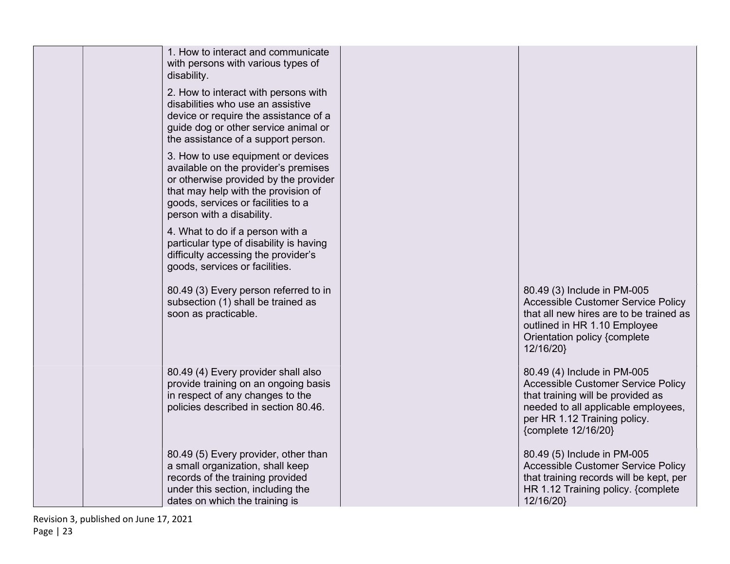|  | 1. How to interact and communicate<br>with persons with various types of<br>disability.                                                                                                                                       |                                                                                                                                                                                                             |
|--|-------------------------------------------------------------------------------------------------------------------------------------------------------------------------------------------------------------------------------|-------------------------------------------------------------------------------------------------------------------------------------------------------------------------------------------------------------|
|  | 2. How to interact with persons with<br>disabilities who use an assistive<br>device or require the assistance of a<br>guide dog or other service animal or<br>the assistance of a support person.                             |                                                                                                                                                                                                             |
|  | 3. How to use equipment or devices<br>available on the provider's premises<br>or otherwise provided by the provider<br>that may help with the provision of<br>goods, services or facilities to a<br>person with a disability. |                                                                                                                                                                                                             |
|  | 4. What to do if a person with a<br>particular type of disability is having<br>difficulty accessing the provider's<br>goods, services or facilities.                                                                          |                                                                                                                                                                                                             |
|  | 80.49 (3) Every person referred to in<br>subsection (1) shall be trained as<br>soon as practicable.                                                                                                                           | 80.49 (3) Include in PM-005<br>Accessible Customer Service Policy<br>that all new hires are to be trained as<br>outlined in HR 1.10 Employee<br>Orientation policy {complete<br>12/16/20}                   |
|  | 80.49 (4) Every provider shall also<br>provide training on an ongoing basis<br>in respect of any changes to the<br>policies described in section 80.46.                                                                       | 80.49 (4) Include in PM-005<br><b>Accessible Customer Service Policy</b><br>that training will be provided as<br>needed to all applicable employees,<br>per HR 1.12 Training policy.<br>{complete 12/16/20} |
|  | 80.49 (5) Every provider, other than<br>a small organization, shall keep<br>records of the training provided<br>under this section, including the<br>dates on which the training is                                           | 80.49 (5) Include in PM-005<br><b>Accessible Customer Service Policy</b><br>that training records will be kept, per<br>HR 1.12 Training policy. {complete<br>12/16/20}                                      |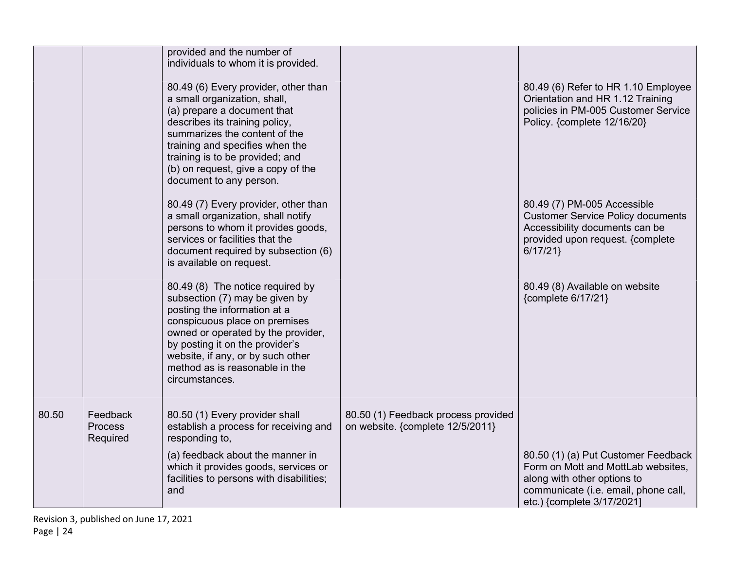|       |                                 | provided and the number of<br>individuals to whom it is provided.<br>80.49 (6) Every provider, other than<br>a small organization, shall,<br>(a) prepare a document that<br>describes its training policy,<br>summarizes the content of the<br>training and specifies when the<br>training is to be provided; and<br>(b) on request, give a copy of the<br>document to any person. |                                                                         | 80.49 (6) Refer to HR 1.10 Employee<br>Orientation and HR 1.12 Training<br>policies in PM-005 Customer Service<br>Policy. {complete 12/16/20}                                  |
|-------|---------------------------------|------------------------------------------------------------------------------------------------------------------------------------------------------------------------------------------------------------------------------------------------------------------------------------------------------------------------------------------------------------------------------------|-------------------------------------------------------------------------|--------------------------------------------------------------------------------------------------------------------------------------------------------------------------------|
|       |                                 | 80.49 (7) Every provider, other than<br>a small organization, shall notify<br>persons to whom it provides goods,<br>services or facilities that the<br>document required by subsection (6)<br>is available on request.                                                                                                                                                             |                                                                         | 80.49 (7) PM-005 Accessible<br><b>Customer Service Policy documents</b><br>Accessibility documents can be<br>provided upon request. {complete<br>6/17/21                       |
|       |                                 | 80.49 (8) The notice required by<br>subsection (7) may be given by<br>posting the information at a<br>conspicuous place on premises<br>owned or operated by the provider,<br>by posting it on the provider's<br>website, if any, or by such other<br>method as is reasonable in the<br>circumstances.                                                                              |                                                                         | 80.49 (8) Available on website<br>{complete 6/17/21}                                                                                                                           |
| 80.50 | Feedback<br>Process<br>Required | 80.50 (1) Every provider shall<br>establish a process for receiving and<br>responding to,<br>(a) feedback about the manner in<br>which it provides goods, services or<br>facilities to persons with disabilities;<br>and                                                                                                                                                           | 80.50 (1) Feedback process provided<br>on website. {complete 12/5/2011} | 80.50 (1) (a) Put Customer Feedback<br>Form on Mott and MottLab websites,<br>along with other options to<br>communicate (i.e. email, phone call,<br>etc.) {complete 3/17/2021] |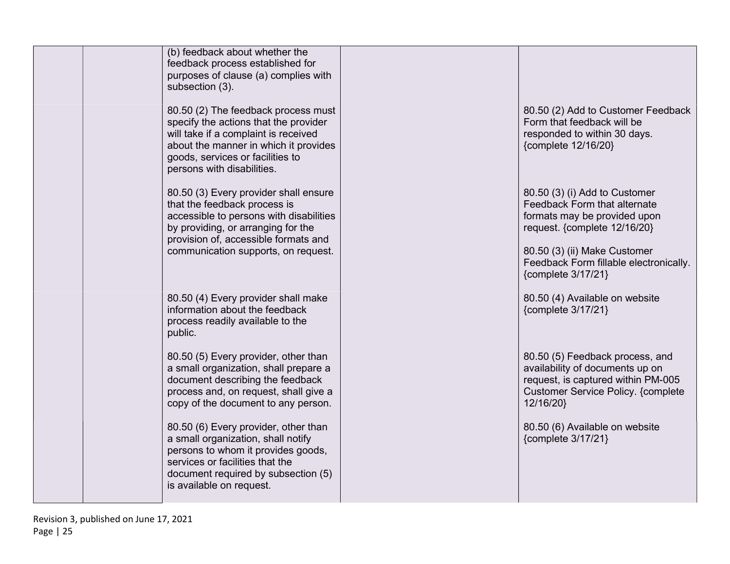| (b) feedback about whether the<br>feedback process established for<br>purposes of clause (a) complies with<br>subsection (3).                                                                                                         |                                                                                                                                                                                                                               |
|---------------------------------------------------------------------------------------------------------------------------------------------------------------------------------------------------------------------------------------|-------------------------------------------------------------------------------------------------------------------------------------------------------------------------------------------------------------------------------|
| 80.50 (2) The feedback process must<br>specify the actions that the provider<br>will take if a complaint is received<br>about the manner in which it provides<br>goods, services or facilities to<br>persons with disabilities.       | 80.50 (2) Add to Customer Feedback<br>Form that feedback will be<br>responded to within 30 days.<br>{complete 12/16/20}                                                                                                       |
| 80.50 (3) Every provider shall ensure<br>that the feedback process is<br>accessible to persons with disabilities<br>by providing, or arranging for the<br>provision of, accessible formats and<br>communication supports, on request. | 80.50 (3) (i) Add to Customer<br>Feedback Form that alternate<br>formats may be provided upon<br>request. {complete 12/16/20}<br>80.50 (3) (ii) Make Customer<br>Feedback Form fillable electronically.<br>{complete 3/17/21} |
| 80.50 (4) Every provider shall make<br>information about the feedback<br>process readily available to the<br>public.                                                                                                                  | 80.50 (4) Available on website<br>{complete 3/17/21}                                                                                                                                                                          |
| 80.50 (5) Every provider, other than<br>a small organization, shall prepare a<br>document describing the feedback<br>process and, on request, shall give a<br>copy of the document to any person.                                     | 80.50 (5) Feedback process, and<br>availability of documents up on<br>request, is captured within PM-005<br><b>Customer Service Policy. {complete</b><br>12/16/20}                                                            |
| 80.50 (6) Every provider, other than<br>a small organization, shall notify<br>persons to whom it provides goods,<br>services or facilities that the<br>document required by subsection (5)<br>is available on request.                | 80.50 (6) Available on website<br>{complete 3/17/21}                                                                                                                                                                          |